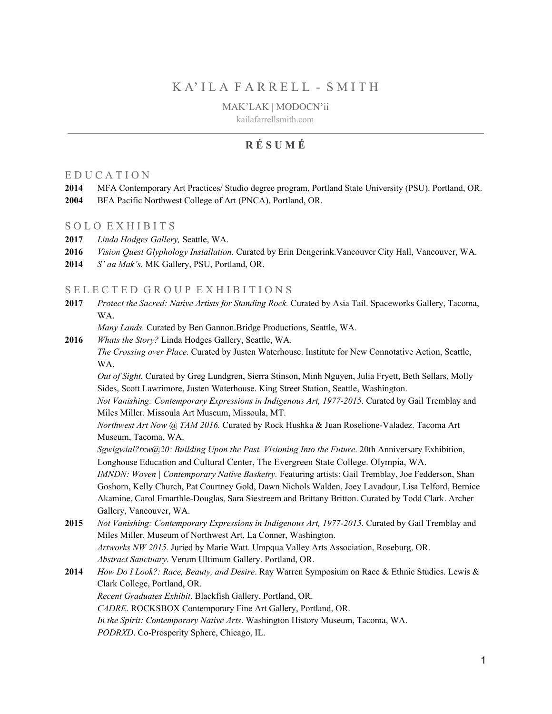# K A' I L A F A R R E L L - S M I T H

MAK'LAK | MODOCN'ii

kailafarrellsmith.com

# **R É S U M É**

## E D U C A T I O N

- **2014** MFA Contemporary Art Practices/ Studio degree program, Portland State University (PSU). Portland, OR.
- **2004** BFA Pacific Northwest College of Art (PNCA). Portland, OR.

#### SOLO EXHIBITS

- **2017** *Linda Hodges Gallery,* Seattle, WA.
- **2016** *Vision Quest Glyphology Installation.* Curated by Erin Dengerink.Vancouver City Hall, Vancouver, WA.
- **2014** *S' aa Mak's.* MK Gallery, PSU, Portland, OR.

#### SELECTED GROUP EXHIBITIONS

**2017** *Protect the Sacred: Native Artists for Standing Rock.* Curated by Asia Tail. Spaceworks Gallery, Tacoma, WA.

*Many Lands.* Curated by Ben Gannon.Bridge Productions, Seattle, WA.

**2016** *Whats the Story?* Linda Hodges Gallery, Seattle, WA.

*The Crossing over Place.* Curated by Justen Waterhouse. Institute for New Connotative Action, Seattle, WA.

*Out of Sight.* Curated by Greg Lundgren, Sierra Stinson, Minh Nguyen, Julia Fryett, Beth Sellars, Molly Sides, Scott Lawrimore, Justen Waterhouse. King Street Station, Seattle, Washington.

*Not Vanishing: Contemporary Expressions in Indigenous Art, 1977-2015*. Curated by Gail Tremblay and Miles Miller. Missoula Art Museum, Missoula, MT.

*Northwest Art Now @ TAM 2016.* Curated by Rock Hushka & Juan Roselione-Valadez. Tacoma Art Museum, Tacoma, WA.

*Sgwigwial?txw@20: Building Upon the Past, Visioning Into the Future*. 20th Anniversary Exhibition, Longhouse Education and Cultural Center, The Evergreen State College. Olympia, WA.

*IMNDN: Woven | Contemporary Native Basketry. Featuring artists: Gail Tremblay, Joe Fedderson, Shan* Goshorn, Kelly Church, Pat Courtney Gold, Dawn Nichols Walden, Joey Lavadour, Lisa Telford, Bernice Akamine, Carol Emarthle-Douglas, Sara Siestreem and Brittany Britton. Curated by Todd Clark. Archer Gallery, Vancouver, WA.

**2015** *Not Vanishing: Contemporary Expressions in Indigenous Art, 1977-2015*. Curated by Gail Tremblay and Miles Miller. Museum of Northwest Art, La Conner, Washington. *Artworks NW 2015.* Juried by Marie Watt. Umpqua Valley Arts Association, Roseburg, OR.

*Abstract Sanctuary*. Verum Ultimum Gallery. Portland, OR.

**2014** *How Do I Look?: Race, Beauty, and Desire*. Ray Warren Symposium on Race & Ethnic Studies. Lewis & Clark College, Portland, OR.

*Recent Graduates Exhibit*. Blackfish Gallery, Portland, OR.

*CADRE*. ROCKSBOX Contemporary Fine Art Gallery, Portland, OR.

*In the Spirit: Contemporary Native Arts*. Washington History Museum, Tacoma, WA.

*PODRXD*. Co-Prosperity Sphere, Chicago, IL.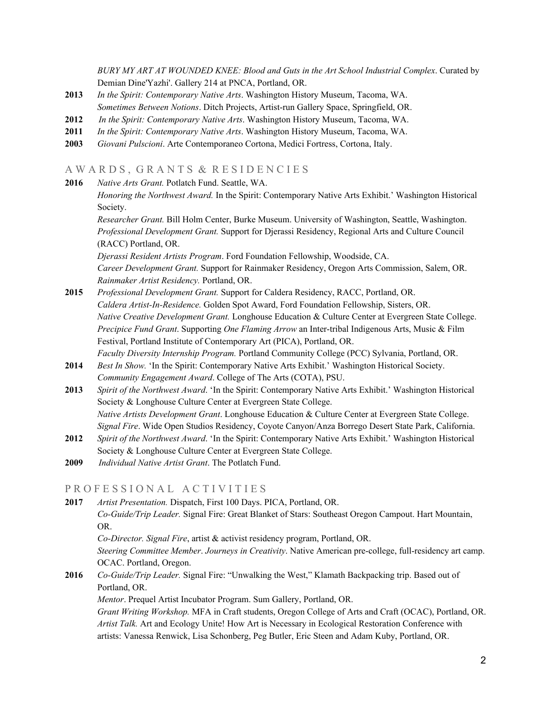*BURY MY ART AT WOUNDED KNEE: Blood and Guts in the Art School Industrial Complex*. Curated by Demian Dine'Yazhi'. Gallery 214 at PNCA, Portland, OR.

- **2013** *In the Spirit: Contemporary Native Arts*. Washington History Museum, Tacoma, WA. *Sometimes Between Notions*. Ditch Projects, Artist-run Gallery Space, Springfield, OR.
- **2012** *In the Spirit: Contemporary Native Arts*. Washington History Museum, Tacoma, WA.
- **2011** *In the Spirit: Contemporary Native Arts*. Washington History Museum, Tacoma, WA.
- **2003** *Giovani Pulscioni*. Arte Contemporaneo Cortona, Medici Fortress, Cortona, Italy.

## A WARDS, GRANTS & RESIDENCIES

**2016** *Native Arts Grant.* Potlatch Fund. Seattle, WA.

*Honoring the Northwest Award.* In the Spirit: Contemporary Native Arts Exhibit.' Washington Historical Society.

*Researcher Grant.* Bill Holm Center, Burke Museum. University of Washington, Seattle, Washington. *Professional Development Grant.* Support for Djerassi Residency, Regional Arts and Culture Council (RACC) Portland, OR.

*Djerassi Resident Artists Program*. Ford Foundation Fellowship, Woodside, CA. *Career Development Grant.* Support for Rainmaker Residency, Oregon Arts Commission, Salem, OR. *Rainmaker Artist Residency.* Portland, OR.

- **2015** *Professional Development Grant.* Support for Caldera Residency, RACC, Portland, OR. *Caldera Artist-In-Residence.* Golden Spot Award, Ford Foundation Fellowship, Sisters, OR. *Native Creative Development Grant.* Longhouse Education & Culture Center at Evergreen State College. *Precipice Fund Grant*. Supporting *One Flaming Arrow* an Inter-tribal Indigenous Arts, Music & Film Festival, Portland Institute of Contemporary Art (PICA), Portland, OR. *Faculty Diversity Internship Program.* Portland Community College (PCC) Sylvania, Portland, OR.
- **2014** *Best In Show.* 'In the Spirit: Contemporary Native Arts Exhibit.' Washington Historical Society. *Community Engagement Award*. College of The Arts (COTA), PSU.
- **2013** *Spirit of the Northwest Award*. 'In the Spirit: Contemporary Native Arts Exhibit.' Washington Historical Society & Longhouse Culture Center at Evergreen State College. *Native Artists Development Grant*. Longhouse Education & Culture Center at Evergreen State College. *Signal Fire*. Wide Open Studios Residency, Coyote Canyon/Anza Borrego Desert State Park, California.
- **2012** *Spirit of the Northwest Award*. 'In the Spirit: Contemporary Native Arts Exhibit.' Washington Historical Society & Longhouse Culture Center at Evergreen State College.
- **2009** *Individual Native Artist Grant*. The Potlatch Fund.

#### PROFESSIONAL ACTIVITIES

**2017** *Artist Presentation.* Dispatch, First 100 Days. PICA, Portland, OR. *Co-Guide/Trip Leader.* Signal Fire: Great Blanket of Stars: Southeast Oregon Campout. Hart Mountain, OR.

*Co-Director. Signal Fire*, artist & activist residency program, Portland, OR.

*Steering Committee Member*. *Journeys in Creativity*. Native American pre-college, full-residency art camp. OCAC. Portland, Oregon.

**2016** *Co-Guide/Trip Leader.* Signal Fire: "Unwalking the West," Klamath Backpacking trip. Based out of Portland, OR.

*Mentor*. Prequel Artist Incubator Program. Sum Gallery, Portland, OR.

*Grant Writing Workshop.* MFA in Craft students, Oregon College of Arts and Craft (OCAC), Portland, OR. *Artist Talk.* Art and Ecology Unite! How Art is Necessary in Ecological Restoration Conference with artists: Vanessa Renwick, Lisa Schonberg, Peg Butler, Eric Steen and Adam Kuby, Portland, OR.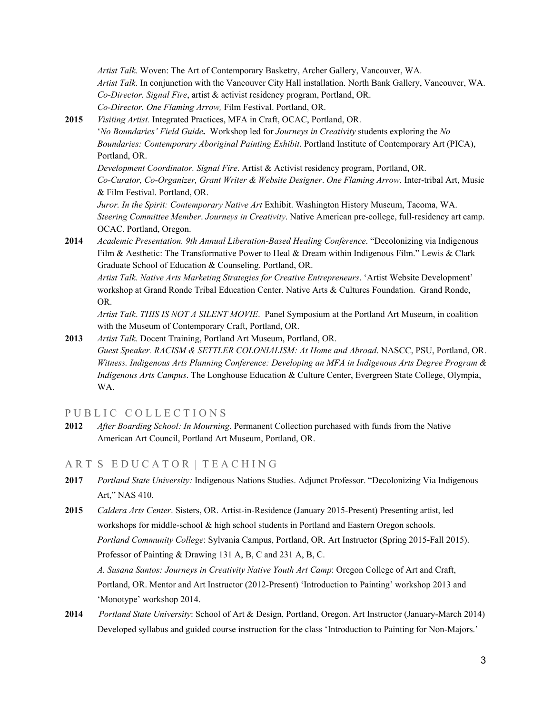*Artist Talk.* Woven: The Art of Contemporary Basketry, Archer Gallery, Vancouver, WA. *Artist Talk.* In conjunction with the Vancouver City Hall installation. North Bank Gallery, Vancouver, WA. *Co-Director. Signal Fire*, artist & activist residency program, Portland, OR. *Co-Director. One Flaming Arrow,* Film Festival. Portland, OR.

**2015** *Visiting Artist.* Integrated Practices, MFA in Craft, OCAC, Portland, OR.

'*No Boundaries' Field Guide***.** Workshop led for *Journeys in Creativity* students exploring the *No Boundaries: Contemporary Aboriginal Painting Exhibit*. Portland Institute of Contemporary Art (PICA), Portland, OR.

*Development Coordinator. Signal Fire*. Artist & Activist residency program, Portland, OR. *Co-Curator, Co-Organizer, Grant Writer & Website Designer*. *One Flaming Arrow.* Inter-tribal Art, Music & Film Festival. Portland, OR.

*Juror. In the Spirit: Contemporary Native Art* Exhibit. Washington History Museum, Tacoma, WA. *Steering Committee Member*. *Journeys in Creativity*. Native American pre-college, full-residency art camp. OCAC. Portland, Oregon.

**2014** *Academic Presentation. 9th Annual Liberation-Based Healing Conference*. "Decolonizing via Indigenous Film & Aesthetic: The Transformative Power to Heal & Dream within Indigenous Film." Lewis & Clark Graduate School of Education & Counseling. Portland, OR.

*Artist Talk. Native Arts Marketing Strategies for Creative Entrepreneurs*. 'Artist Website Development' workshop at Grand Ronde Tribal Education Center. Native Arts & Cultures Foundation. Grand Ronde, OR.

*Artist Talk*. *THIS IS NOT A SILENT MOVIE*. Panel Symposium at the Portland Art Museum, in coalition with the Museum of Contemporary Craft, Portland, OR.

**2013** *Artist Talk.* Docent Training, Portland Art Museum, Portland, OR. *Guest Speaker. RACISM & SETTLER COLONIALISM: At Home and Abroad*. NASCC, PSU, Portland, OR. *Witness. Indigenous Arts Planning Conference: Developing an MFA in Indigenous Arts Degree Program & Indigenous Arts Campus*. The Longhouse Education & Culture Center, Evergreen State College, Olympia, WA.

PUBLIC COLLECTIONS

**2012** *After Boarding School: In Mourning*. Permanent Collection purchased with funds from the Native American Art Council, Portland Art Museum, Portland, OR.

#### A R T S E D U C A T O R | T E A C H I N G

- **2017** *Portland State University:* Indigenous Nations Studies. Adjunct Professor. "Decolonizing Via Indigenous Art," NAS 410.
- **2015** *Caldera Arts Center*. Sisters, OR. Artist-in-Residence (January 2015-Present) Presenting artist, led workshops for middle-school & high school students in Portland and Eastern Oregon schools. *Portland Community College*: Sylvania Campus, Portland, OR. Art Instructor (Spring 2015-Fall 2015). Professor of Painting & Drawing 131 A, B, C and 231 A, B, C.

*A. Susana Santos: Journeys in Creativity Native Youth Art Camp*: Oregon College of Art and Craft, Portland, OR. Mentor and Art Instructor (2012-Present) 'Introduction to Painting' workshop 2013 and 'Monotype' workshop 2014.

**2014** *Portland State University*: School of Art & Design, Portland, Oregon. Art Instructor (January-March 2014) Developed syllabus and guided course instruction for the class 'Introduction to Painting for Non-Majors.'